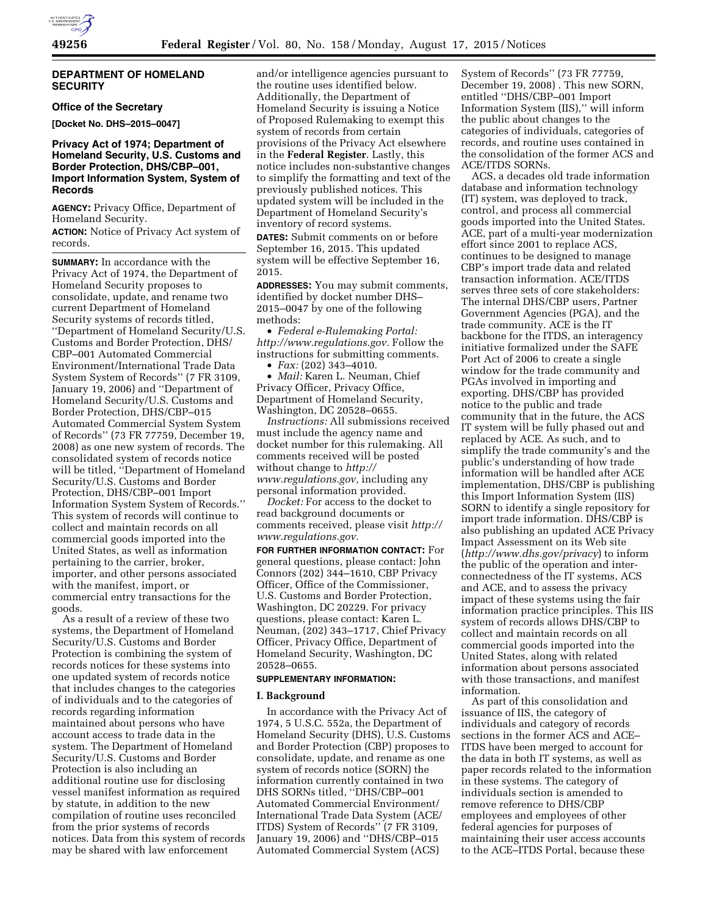## **DEPARTMENT OF HOMELAND SECURITY**

### **Office of the Secretary**

**[Docket No. DHS–2015–0047]** 

## **Privacy Act of 1974; Department of Homeland Security, U.S. Customs and Border Protection, DHS/CBP–001, Import Information System, System of Records**

**AGENCY:** Privacy Office, Department of Homeland Security.

**ACTION:** Notice of Privacy Act system of records.

**SUMMARY:** In accordance with the Privacy Act of 1974, the Department of Homeland Security proposes to consolidate, update, and rename two current Department of Homeland Security systems of records titled, ''Department of Homeland Security/U.S. Customs and Border Protection, DHS/ CBP–001 Automated Commercial Environment/International Trade Data System System of Records'' (7 FR 3109, January 19, 2006) and ''Department of Homeland Security/U.S. Customs and Border Protection, DHS/CBP–015 Automated Commercial System System of Records'' (73 FR 77759, December 19, 2008) as one new system of records. The consolidated system of records notice will be titled, ''Department of Homeland Security/U.S. Customs and Border Protection, DHS/CBP–001 Import Information System System of Records.'' This system of records will continue to collect and maintain records on all commercial goods imported into the United States, as well as information pertaining to the carrier, broker, importer, and other persons associated with the manifest, import, or commercial entry transactions for the goods.

As a result of a review of these two systems, the Department of Homeland Security/U.S. Customs and Border Protection is combining the system of records notices for these systems into one updated system of records notice that includes changes to the categories of individuals and to the categories of records regarding information maintained about persons who have account access to trade data in the system. The Department of Homeland Security/U.S. Customs and Border Protection is also including an additional routine use for disclosing vessel manifest information as required by statute, in addition to the new compilation of routine uses reconciled from the prior systems of records notices. Data from this system of records may be shared with law enforcement

and/or intelligence agencies pursuant to the routine uses identified below. Additionally, the Department of Homeland Security is issuing a Notice of Proposed Rulemaking to exempt this system of records from certain provisions of the Privacy Act elsewhere in the **Federal Register**. Lastly, this notice includes non-substantive changes to simplify the formatting and text of the previously published notices. This updated system will be included in the Department of Homeland Security's inventory of record systems.

**DATES:** Submit comments on or before September 16, 2015. This updated system will be effective September 16, 2015.

**ADDRESSES:** You may submit comments, identified by docket number DHS– 2015–0047 by one of the following methods:

• *Federal e-Rulemaking Portal: [http://www.regulations.gov.](http://www.regulations.gov)* Follow the instructions for submitting comments. • *Fax:* (202) 343–4010.

• *Mail:* Karen L. Neuman, Chief Privacy Officer, Privacy Office, Department of Homeland Security, Washington, DC 20528–0655.

*Instructions:* All submissions received must include the agency name and docket number for this rulemaking. All comments received will be posted without change to *[http://](http://www.regulations.gov) [www.regulations.gov,](http://www.regulations.gov)* including any personal information provided.

*Docket:* For access to the docket to read background documents or comments received, please visit *[http://](http://www.regulations.gov) [www.regulations.gov.](http://www.regulations.gov)* 

**FOR FURTHER INFORMATION CONTACT:** For general questions, please contact: John Connors (202) 344–1610, CBP Privacy Officer, Office of the Commissioner, U.S. Customs and Border Protection, Washington, DC 20229. For privacy questions, please contact: Karen L. Neuman, (202) 343–1717, Chief Privacy Officer, Privacy Office, Department of Homeland Security, Washington, DC 20528–0655.

### **SUPPLEMENTARY INFORMATION:**

### **I. Background**

In accordance with the Privacy Act of 1974, 5 U.S.C. 552a, the Department of Homeland Security (DHS), U.S. Customs and Border Protection (CBP) proposes to consolidate, update, and rename as one system of records notice (SORN) the information currently contained in two DHS SORNs titled, ''DHS/CBP–001 Automated Commercial Environment/ International Trade Data System (ACE/ ITDS) System of Records'' (7 FR 3109, January 19, 2006) and ''DHS/CBP–015 Automated Commercial System (ACS)

System of Records'' (73 FR 77759, December 19, 2008) . This new SORN, entitled ''DHS/CBP–001 Import Information System (IIS),'' will inform the public about changes to the categories of individuals, categories of records, and routine uses contained in the consolidation of the former ACS and ACE/ITDS SORNs.

ACS, a decades old trade information database and information technology (IT) system, was deployed to track, control, and process all commercial goods imported into the United States. ACE, part of a multi-year modernization effort since 2001 to replace ACS, continues to be designed to manage CBP's import trade data and related transaction information. ACE/ITDS serves three sets of core stakeholders: The internal DHS/CBP users, Partner Government Agencies (PGA), and the trade community. ACE is the IT backbone for the ITDS, an interagency initiative formalized under the SAFE Port Act of 2006 to create a single window for the trade community and PGAs involved in importing and exporting. DHS/CBP has provided notice to the public and trade community that in the future, the ACS IT system will be fully phased out and replaced by ACE. As such, and to simplify the trade community's and the public's understanding of how trade information will be handled after ACE implementation, DHS/CBP is publishing this Import Information System (IIS) SORN to identify a single repository for import trade information. DHS/CBP is also publishing an updated ACE Privacy Impact Assessment on its Web site (*<http://www.dhs.gov/privacy>*) to inform the public of the operation and interconnectedness of the IT systems, ACS and ACE, and to assess the privacy impact of these systems using the fair information practice principles. This IIS system of records allows DHS/CBP to collect and maintain records on all commercial goods imported into the United States, along with related information about persons associated with those transactions, and manifest information.

As part of this consolidation and issuance of IIS, the category of individuals and category of records sections in the former ACS and ACE– ITDS have been merged to account for the data in both IT systems, as well as paper records related to the information in these systems. The category of individuals section is amended to remove reference to DHS/CBP employees and employees of other federal agencies for purposes of maintaining their user access accounts to the ACE–ITDS Portal, because these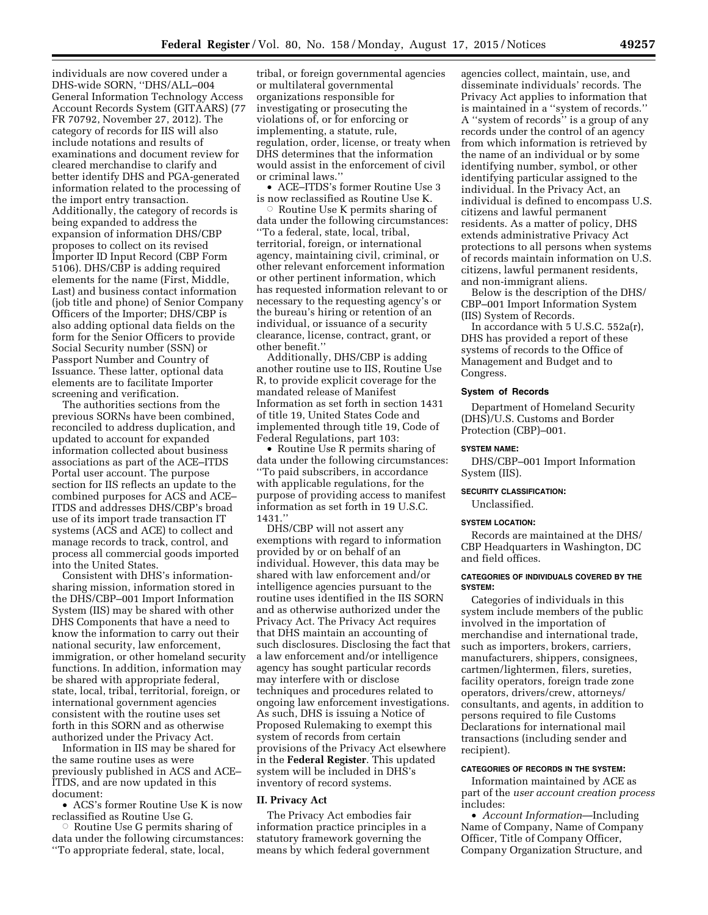individuals are now covered under a DHS-wide SORN, ''DHS/ALL–004 General Information Technology Access Account Records System (GITAARS) (77 FR 70792, November 27, 2012). The category of records for IIS will also include notations and results of examinations and document review for cleared merchandise to clarify and better identify DHS and PGA-generated information related to the processing of the import entry transaction. Additionally, the category of records is being expanded to address the expansion of information DHS/CBP proposes to collect on its revised Importer ID Input Record (CBP Form 5106). DHS/CBP is adding required elements for the name (First, Middle, Last) and business contact information (job title and phone) of Senior Company Officers of the Importer; DHS/CBP is also adding optional data fields on the form for the Senior Officers to provide Social Security number (SSN) or Passport Number and Country of Issuance. These latter, optional data elements are to facilitate Importer screening and verification.

The authorities sections from the previous SORNs have been combined, reconciled to address duplication, and updated to account for expanded information collected about business associations as part of the ACE–ITDS Portal user account. The purpose section for IIS reflects an update to the combined purposes for ACS and ACE– ITDS and addresses DHS/CBP's broad use of its import trade transaction IT systems (ACS and ACE) to collect and manage records to track, control, and process all commercial goods imported into the United States.

Consistent with DHS's informationsharing mission, information stored in the DHS/CBP–001 Import Information System (IIS) may be shared with other DHS Components that have a need to know the information to carry out their national security, law enforcement, immigration, or other homeland security functions. In addition, information may be shared with appropriate federal, state, local, tribal, territorial, foreign, or international government agencies consistent with the routine uses set forth in this SORN and as otherwise authorized under the Privacy Act.

Information in IIS may be shared for the same routine uses as were previously published in ACS and ACE– ITDS, and are now updated in this document:

• ACS's former Routine Use K is now reclassified as Routine Use G.

 $\circ$  Routine Use G permits sharing of data under the following circumstances: ''To appropriate federal, state, local,

tribal, or foreign governmental agencies or multilateral governmental organizations responsible for investigating or prosecuting the violations of, or for enforcing or implementing, a statute, rule, regulation, order, license, or treaty when DHS determines that the information would assist in the enforcement of civil or criminal laws.''

• ACE–ITDS's former Routine Use 3 is now reclassified as Routine Use K.

Æ Routine Use K permits sharing of data under the following circumstances: ''To a federal, state, local, tribal, territorial, foreign, or international agency, maintaining civil, criminal, or other relevant enforcement information or other pertinent information, which has requested information relevant to or necessary to the requesting agency's or the bureau's hiring or retention of an individual, or issuance of a security clearance, license, contract, grant, or other benefit.''

Additionally, DHS/CBP is adding another routine use to IIS, Routine Use R, to provide explicit coverage for the mandated release of Manifest Information as set forth in section 1431 of title 19, United States Code and implemented through title 19, Code of Federal Regulations, part 103:

• Routine Use R permits sharing of data under the following circumstances: ''To paid subscribers, in accordance with applicable regulations, for the purpose of providing access to manifest information as set forth in 19 U.S.C. 1431.''

DHS/CBP will not assert any exemptions with regard to information provided by or on behalf of an individual. However, this data may be shared with law enforcement and/or intelligence agencies pursuant to the routine uses identified in the IIS SORN and as otherwise authorized under the Privacy Act. The Privacy Act requires that DHS maintain an accounting of such disclosures. Disclosing the fact that a law enforcement and/or intelligence agency has sought particular records may interfere with or disclose techniques and procedures related to ongoing law enforcement investigations. As such, DHS is issuing a Notice of Proposed Rulemaking to exempt this system of records from certain provisions of the Privacy Act elsewhere in the **Federal Register**. This updated system will be included in DHS's inventory of record systems.

### **II. Privacy Act**

The Privacy Act embodies fair information practice principles in a statutory framework governing the means by which federal government

agencies collect, maintain, use, and disseminate individuals' records. The Privacy Act applies to information that is maintained in a ''system of records.'' A ''system of records'' is a group of any records under the control of an agency from which information is retrieved by the name of an individual or by some identifying number, symbol, or other identifying particular assigned to the individual. In the Privacy Act, an individual is defined to encompass U.S. citizens and lawful permanent residents. As a matter of policy, DHS extends administrative Privacy Act protections to all persons when systems of records maintain information on U.S. citizens, lawful permanent residents, and non-immigrant aliens.

Below is the description of the DHS/ CBP–001 Import Information System (IIS) System of Records.

In accordance with 5 U.S.C. 552a(r), DHS has provided a report of these systems of records to the Office of Management and Budget and to Congress.

### **System of Records**

Department of Homeland Security (DHS)/U.S. Customs and Border Protection (CBP)–001.

### **SYSTEM NAME:**

DHS/CBP–001 Import Information System (IIS).

## **SECURITY CLASSIFICATION:**

Unclassified.

### **SYSTEM LOCATION:**

Records are maintained at the DHS/ CBP Headquarters in Washington, DC and field offices.

## **CATEGORIES OF INDIVIDUALS COVERED BY THE SYSTEM:**

Categories of individuals in this system include members of the public involved in the importation of merchandise and international trade, such as importers, brokers, carriers, manufacturers, shippers, consignees, cartmen/lightermen, filers, sureties, facility operators, foreign trade zone operators, drivers/crew, attorneys/ consultants, and agents, in addition to persons required to file Customs Declarations for international mail transactions (including sender and recipient).

## **CATEGORIES OF RECORDS IN THE SYSTEM:**

Information maintained by ACE as part of the *user account creation process*  includes:

• *Account Information*—Including Name of Company, Name of Company Officer, Title of Company Officer, Company Organization Structure, and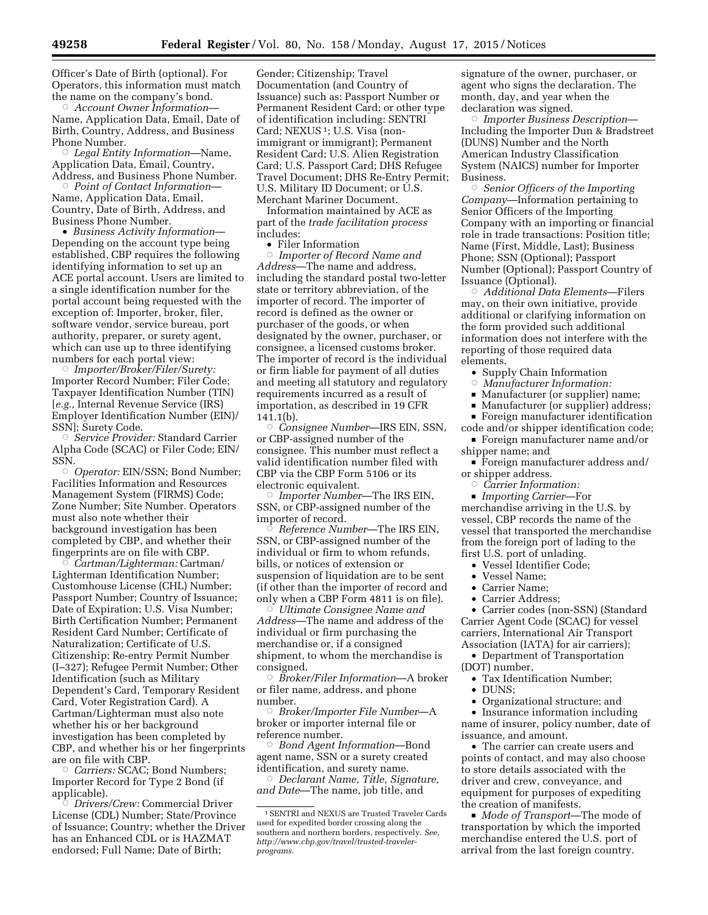Officer's Date of Birth (optional). For Operators, this information must match the name on the company's bond.

Æ *Account Owner Information*— Name, Application Data, Email, Date of Birth, Country, Address, and Business Phone Number.

Æ *Legal Entity Information*—Name, Application Data, Email, Country, Address, and Business Phone Number.

Æ *Point of Contact Information*— Name, Application Data, Email, Country, Date of Birth, Address, and Business Phone Number.

• *Business Activity Information*— Depending on the account type being established, CBP requires the following identifying information to set up an ACE portal account. Users are limited to a single identification number for the portal account being requested with the exception of: Importer, broker, filer, software vendor, service bureau, port authority, preparer, or surety agent, which can use up to three identifying numbers for each portal view:

Æ *Importer/Broker/Filer/Surety:*  Importer Record Number; Filer Code; Taxpayer Identification Number (TIN) [*e.g.,* Internal Revenue Service (IRS) Employer Identification Number (EIN)/ SSN]; Surety Code.

Æ *Service Provider:* Standard Carrier Alpha Code (SCAC) or Filer Code; EIN/ SSN.

 $\circ$  *Operator:* EIN/SSN; Bond Number; Facilities Information and Resources Management System (FIRMS) Code; Zone Number; Site Number. Operators must also note whether their background investigation has been completed by CBP, and whether their fingerprints are on file with CBP.

Æ *Cartman/Lighterman:* Cartman/ Lighterman Identification Number; Customhouse License (CHL) Number; Passport Number; Country of Issuance; Date of Expiration; U.S. Visa Number; Birth Certification Number; Permanent Resident Card Number; Certificate of Naturalization; Certificate of U.S. Citizenship; Re-entry Permit Number (I–327); Refugee Permit Number; Other Identification (such as Military Dependent's Card, Temporary Resident Card, Voter Registration Card). A Cartman/Lighterman must also note whether his or her background investigation has been completed by CBP, and whether his or her fingerprints are on file with CBP.

Æ *Carriers:* SCAC; Bond Numbers; Importer Record for Type 2 Bond (if applicable).<br>*Drivers* 

 *Drivers/Crew:* Commercial Driver License (CDL) Number; State/Province of Issuance; Country; whether the Driver has an Enhanced CDL or is HAZMAT endorsed; Full Name; Date of Birth;

Gender; Citizenship; Travel Documentation (and Country of Issuance) such as: Passport Number or Permanent Resident Card; or other type of identification including: SENTRI Card; NEXUS<sup>1</sup>; U.S. Visa (nonimmigrant or immigrant); Permanent Resident Card; U.S. Alien Registration Card; U.S. Passport Card; DHS Refugee Travel Document; DHS Re-Entry Permit; U.S. Military ID Document; or U.S. Merchant Mariner Document.

Information maintained by ACE as part of the *trade facilitation process*  includes:

• Filer Information

Æ *Importer of Record Name and Address*—The name and address, including the standard postal two-letter state or territory abbreviation, of the importer of record. The importer of record is defined as the owner or purchaser of the goods, or when designated by the owner, purchaser, or consignee, a licensed customs broker. The importer of record is the individual or firm liable for payment of all duties and meeting all statutory and regulatory requirements incurred as a result of importation, as described in 19 CFR 141.1(b).

Æ *Consignee Number*—IRS EIN, SSN, or CBP-assigned number of the consignee. This number must reflect a valid identification number filed with CBP via the CBP Form 5106 or its electronic equivalent.

Æ *Importer Number*—The IRS EIN, SSN, or CBP-assigned number of the importer of record. Æ

 *Reference Number*—The IRS EIN, SSN, or CBP-assigned number of the individual or firm to whom refunds, bills, or notices of extension or suspension of liquidation are to be sent (if other than the importer of record and only when a CBP Form 4811 is on file).

Æ *Ultimate Consignee Name and Address*—The name and address of the individual or firm purchasing the merchandise or, if a consigned shipment, to whom the merchandise is consigned.<br>*Broker* ©

 *Broker/Filer Information*—A broker or filer name, address, and phone number.

Æ *Broker/Importer File Number*—A broker or importer internal file or reference number.

Æ *Bond Agent Information*—Bond agent name, SSN or a surety created identification, and surety name.

Æ *Declarant Name, Title, Signature, and Date*—The name, job title, and

signature of the owner, purchaser, or agent who signs the declaration. The month, day, and year when the declaration was signed.

Æ *Importer Business Description*— Including the Importer Dun & Bradstreet (DUNS) Number and the North American Industry Classification System (NAICS) number for Importer Business.

Æ *Senior Officers of the Importing Company*—Information pertaining to Senior Officers of the Importing Company with an importing or financial role in trade transactions: Position title; Name (First, Middle, Last); Business Phone; SSN (Optional); Passport Number (Optional); Passport Country of Issuance (Optional).

Æ *Additional Data Elements*—Filers may, on their own initiative, provide additional or clarifying information on the form provided such additional information does not interfere with the reporting of those required data elements.

- Supply Chain Information
- $\circ$ *Manufacturer Information:*
- Manufacturer (or supplier) name;
- Manufacturer (or supplier) address;

**Foreign manufacturer identification** 

code and/or shipper identification code; ■ Foreign manufacturer name and/or

shipper name; and ■ Foreign manufacturer address and/

or shipper address.

 $\circ$  *Carrier Information:* 

■ *Importing Carrier*—For merchandise arriving in the U.S. by vessel, CBP records the name of the vessel that transported the merchandise from the foreign port of lading to the first U.S. port of unlading.

• Vessel Identifier Code;

- Vessel Name;
- Carrier Name;
- Carrier Address;

• Carrier codes (non-SSN) (Standard Carrier Agent Code (SCAC) for vessel carriers, International Air Transport Association (IATA) for air carriers);

- Department of Transportation (DOT) number,
	- Tax Identification Number;
	- DUNS;
	- Organizational structure; and

• Insurance information including name of insurer, policy number, date of issuance, and amount.

• The carrier can create users and points of contact, and may also choose to store details associated with the driver and crew, conveyance, and equipment for purposes of expediting the creation of manifests.

 $\bullet\;$  *Mode of Transport*—The mode of transportation by which the imported merchandise entered the U.S. port of arrival from the last foreign country.

<sup>1</sup>SENTRI and NEXUS are Trusted Traveler Cards used for expedited border crossing along the southern and northern borders, respectively. *See, http://www.cbp.gov/travel/trusted-travelerprograms.*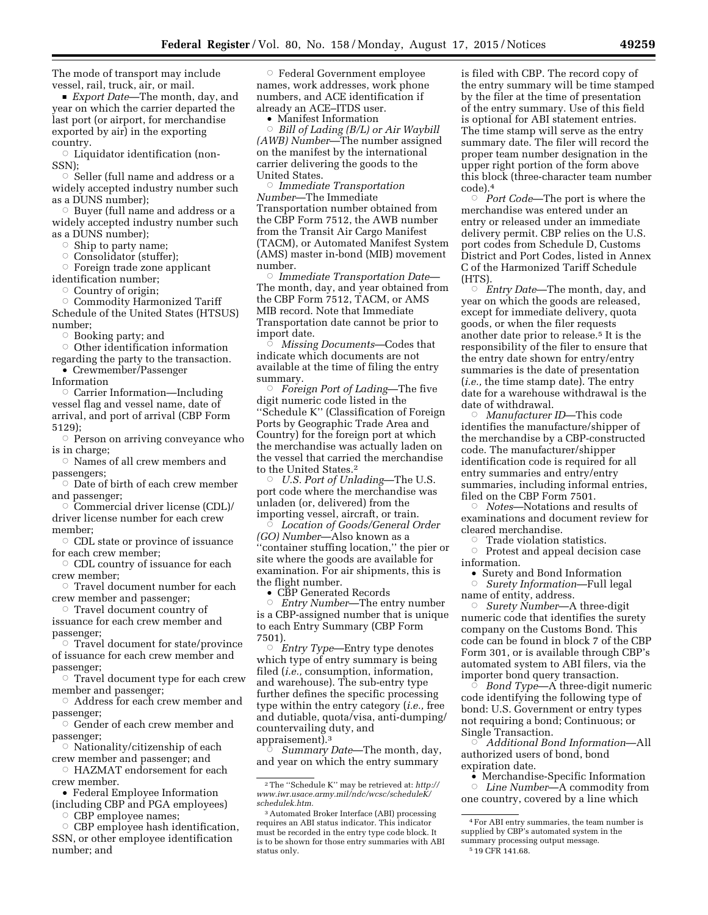The mode of transport may include vessel, rail, truck, air, or mail.

■ *Export Date*—The month, day, and year on which the carrier departed the last port (or airport, for merchandise exported by air) in the exporting country.

 $\circ$  Liquidator identification (non-SSN);

 $\circ$  Seller (full name and address or a widely accepted industry number such as a DUNS number);

 $\circ$  Buyer (full name and address or a widely accepted industry number such as a DUNS number);

 $\circ$  Ship to party name;

Consolidator (stuffer);

 $\circ$  Foreign trade zone applicant identification number;

Æ Country of origin;

Æ Commodity Harmonized Tariff Schedule of the United States (HTSUS) number;

Æ Booking party; and

 $\circ$  Other identification information

regarding the party to the transaction. • Crewmember/Passenger

Information

 $\circ$  Carrier Information—Including vessel flag and vessel name, date of arrival, and port of arrival (CBP Form 5129);

 $\circ$  Person on arriving conveyance who is in charge;

 $\circ$  Names of all crew members and passengers;

 $\circ$  Date of birth of each crew member and passenger;

 $\circ$  Commercial driver license (CDL)/ driver license number for each crew member;

 $\circ$  CDL state or province of issuance for each crew member;

 $\circ$  CDL country of issuance for each crew member;

 $\circ$  Travel document number for each crew member and passenger;

 $\circ$  Travel document country of issuance for each crew member and

passenger;  $\circ$  Travel document for state/province of issuance for each crew member and

passenger;  $\circ$  Travel document type for each crew

member and passenger; Address for each crew member and

passenger; Æ Gender of each crew member and

passenger;

 $\circ$  Nationality/citizenship of each crew member and passenger; and

 $\circ$  HAZMAT endorsement for each crew member.

• Federal Employee Information (including CBP and PGA employees) O CBP employee names;

 $\circ$  CBP employee hash identification, SSN, or other employee identification number; and

Æ Federal Government employee names, work addresses, work phone numbers, and ACE identification if already an ACE–ITDS user.

• Manifest Information

Æ *Bill of Lading (B/L) or Air Waybill (AWB) Number*—The number assigned on the manifest by the international carrier delivering the goods to the United States.

Æ *Immediate Transportation Number*—The Immediate Transportation number obtained from the CBP Form 7512, the AWB number from the Transit Air Cargo Manifest (TACM), or Automated Manifest System (AMS) master in-bond (MIB) movement number.

Æ *Immediate Transportation Date*— The month, day, and year obtained from the CBP Form 7512, TACM, or AMS MIB record. Note that Immediate Transportation date cannot be prior to import date.

Æ *Missing Documents*—Codes that indicate which documents are not available at the time of filing the entry summary.

Æ *Foreign Port of Lading*—The five digit numeric code listed in the ''Schedule K'' (Classification of Foreign Ports by Geographic Trade Area and Country) for the foreign port at which the merchandise was actually laden on the vessel that carried the merchandise to the United States.2

 $\ddot{\circ}$  *U.S. Port of Unlading*—The U.S. port code where the merchandise was unladen (or, delivered) from the importing vessel, aircraft, or train. Æ

 *Location of Goods/General Order (GO) Number*—Also known as a ''container stuffing location,'' the pier or site where the goods are available for examination. For air shipments, this is the flight number.

• CBP Generated Records

Æ *Entry Number*—The entry number is a CBP-assigned number that is unique to each Entry Summary (CBP Form 7501).

Æ *Entry Type*—Entry type denotes which type of entry summary is being filed (*i.e.,* consumption, information, and warehouse). The sub-entry type further defines the specific processing type within the entry category (*i.e.,* free and dutiable, quota/visa, anti-dumping/ countervailing duty, and appraisement).3

 $\zeta$  *Summary Date*—The month, day, and year on which the entry summary

is filed with CBP. The record copy of the entry summary will be time stamped by the filer at the time of presentation of the entry summary. Use of this field is optional for ABI statement entries. The time stamp will serve as the entry summary date. The filer will record the proper team number designation in the upper right portion of the form above this block (three-character team number code).4

Æ *Port Code*—The port is where the merchandise was entered under an entry or released under an immediate delivery permit. CBP relies on the U.S. port codes from Schedule D, Customs District and Port Codes, listed in Annex C of the Harmonized Tariff Schedule (HTS).<br> $\overline{\phantom{a}}$   $\overline{E}$ 

 *Entry Date*—The month, day, and year on which the goods are released, except for immediate delivery, quota goods, or when the filer requests another date prior to release.5 It is the responsibility of the filer to ensure that the entry date shown for entry/entry summaries is the date of presentation (*i.e.,* the time stamp date). The entry date for a warehouse withdrawal is the date of withdrawal.

Æ *Manufacturer ID*—This code identifies the manufacture/shipper of the merchandise by a CBP-constructed code. The manufacturer/shipper identification code is required for all entry summaries and entry/entry summaries, including informal entries, filed on the CBP Form 7501.<br>Notes—Notations and re ©

 *Notes*—Notations and results of examinations and document review for cleared merchandise.

ÆTrade violation statistics.

**EXECUTE CONCRETE CONCRETE:** Protest and appeal decision case information.

• Surety and Bond Information

 $\bigcap$  *Surety Information*—Full legal name of entity, address.

Æ *Surety Number*—A three-digit numeric code that identifies the surety company on the Customs Bond. This code can be found in block 7 of the CBP Form 301, or is available through CBP's automated system to ABI filers, via the importer bond query transaction.<br>*© Bond Tvpe*—A three-digit nı

 *Bond Type*—A three-digit numeric code identifying the following type of bond: U.S. Government or entry types not requiring a bond; Continuous; or Single Transaction.

Æ *Additional Bond Information*—All authorized users of bond, bond expiration date.

- Merchandise-Specific Information
- Æ *Line Number*—A commodity from one country, covered by a line which

<sup>2</sup>The ''Schedule K'' may be retrieved at: *[http://](http://www.iwr.usace.army.mil/ndc/wcsc/scheduleK/schedulek.htm) [www.iwr.usace.army.mil/ndc/wcsc/scheduleK/](http://www.iwr.usace.army.mil/ndc/wcsc/scheduleK/schedulek.htm) [schedulek.htm.](http://www.iwr.usace.army.mil/ndc/wcsc/scheduleK/schedulek.htm)* 

<sup>3</sup>Automated Broker Interface (ABI) processing requires an ABI status indicator. This indicator must be recorded in the entry type code block. It is to be shown for those entry summaries with ABI status only.

<sup>4</sup>For ABI entry summaries, the team number is supplied by CBP's automated system in the summary processing output message.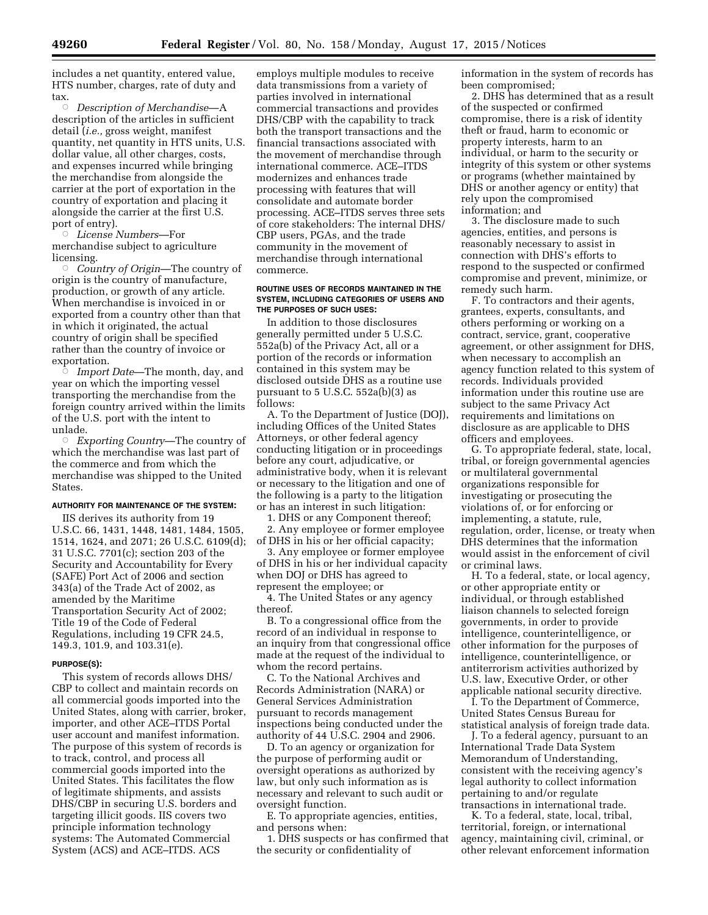includes a net quantity, entered value, HTS number, charges, rate of duty and tax.

Æ *Description of Merchandise*—A description of the articles in sufficient detail (*i.e.,* gross weight, manifest quantity, net quantity in HTS units, U.S. dollar value, all other charges, costs, and expenses incurred while bringing the merchandise from alongside the carrier at the port of exportation in the country of exportation and placing it alongside the carrier at the first U.S. port of entry).

Æ *License Numbers*—For merchandise subject to agriculture licensing.

Æ *Country of Origin*—The country of origin is the country of manufacture, production, or growth of any article. When merchandise is invoiced in or exported from a country other than that in which it originated, the actual country of origin shall be specified rather than the country of invoice or exportation.

Æ *Import Date*—The month, day, and year on which the importing vessel transporting the merchandise from the foreign country arrived within the limits of the U.S. port with the intent to unlade.

Æ *Exporting Country*—The country of which the merchandise was last part of the commerce and from which the merchandise was shipped to the United States.

### **AUTHORITY FOR MAINTENANCE OF THE SYSTEM:**

IIS derives its authority from 19 U.S.C. 66, 1431, 1448, 1481, 1484, 1505, 1514, 1624, and 2071; 26 U.S.C. 6109(d); 31 U.S.C. 7701(c); section 203 of the Security and Accountability for Every (SAFE) Port Act of 2006 and section 343(a) of the Trade Act of 2002, as amended by the Maritime Transportation Security Act of 2002; Title 19 of the Code of Federal Regulations, including 19 CFR 24.5, 149.3, 101.9, and 103.31(e).

### **PURPOSE(S):**

This system of records allows DHS/ CBP to collect and maintain records on all commercial goods imported into the United States, along with carrier, broker, importer, and other ACE–ITDS Portal user account and manifest information. The purpose of this system of records is to track, control, and process all commercial goods imported into the United States. This facilitates the flow of legitimate shipments, and assists DHS/CBP in securing U.S. borders and targeting illicit goods. IIS covers two principle information technology systems: The Automated Commercial System (ACS) and ACE–ITDS. ACS

employs multiple modules to receive data transmissions from a variety of parties involved in international commercial transactions and provides DHS/CBP with the capability to track both the transport transactions and the financial transactions associated with the movement of merchandise through international commerce. ACE–ITDS modernizes and enhances trade processing with features that will consolidate and automate border processing. ACE–ITDS serves three sets of core stakeholders: The internal DHS/ CBP users, PGAs, and the trade community in the movement of merchandise through international commerce.

### **ROUTINE USES OF RECORDS MAINTAINED IN THE SYSTEM, INCLUDING CATEGORIES OF USERS AND THE PURPOSES OF SUCH USES:**

In addition to those disclosures generally permitted under 5 U.S.C. 552a(b) of the Privacy Act, all or a portion of the records or information contained in this system may be disclosed outside DHS as a routine use pursuant to 5 U.S.C. 552a(b)(3) as follows:

A. To the Department of Justice (DOJ), including Offices of the United States Attorneys, or other federal agency conducting litigation or in proceedings before any court, adjudicative, or administrative body, when it is relevant or necessary to the litigation and one of the following is a party to the litigation or has an interest in such litigation:

1. DHS or any Component thereof;

2. Any employee or former employee of DHS in his or her official capacity;

3. Any employee or former employee of DHS in his or her individual capacity when DOJ or DHS has agreed to represent the employee; or

4. The United States or any agency thereof.

B. To a congressional office from the record of an individual in response to an inquiry from that congressional office made at the request of the individual to whom the record pertains.

C. To the National Archives and Records Administration (NARA) or General Services Administration pursuant to records management inspections being conducted under the authority of 44 U.S.C. 2904 and 2906.

D. To an agency or organization for the purpose of performing audit or oversight operations as authorized by law, but only such information as is necessary and relevant to such audit or oversight function.

E. To appropriate agencies, entities, and persons when:

1. DHS suspects or has confirmed that the security or confidentiality of

information in the system of records has been compromised;

2. DHS has determined that as a result of the suspected or confirmed compromise, there is a risk of identity theft or fraud, harm to economic or property interests, harm to an individual, or harm to the security or integrity of this system or other systems or programs (whether maintained by DHS or another agency or entity) that rely upon the compromised information; and

3. The disclosure made to such agencies, entities, and persons is reasonably necessary to assist in connection with DHS's efforts to respond to the suspected or confirmed compromise and prevent, minimize, or remedy such harm.

F. To contractors and their agents, grantees, experts, consultants, and others performing or working on a contract, service, grant, cooperative agreement, or other assignment for DHS, when necessary to accomplish an agency function related to this system of records. Individuals provided information under this routine use are subject to the same Privacy Act requirements and limitations on disclosure as are applicable to DHS officers and employees.

G. To appropriate federal, state, local, tribal, or foreign governmental agencies or multilateral governmental organizations responsible for investigating or prosecuting the violations of, or for enforcing or implementing, a statute, rule, regulation, order, license, or treaty when DHS determines that the information would assist in the enforcement of civil or criminal laws.

H. To a federal, state, or local agency, or other appropriate entity or individual, or through established liaison channels to selected foreign governments, in order to provide intelligence, counterintelligence, or other information for the purposes of intelligence, counterintelligence, or antiterrorism activities authorized by U.S. law, Executive Order, or other applicable national security directive.

I. To the Department of Commerce, United States Census Bureau for statistical analysis of foreign trade data.

J. To a federal agency, pursuant to an International Trade Data System Memorandum of Understanding, consistent with the receiving agency's legal authority to collect information pertaining to and/or regulate transactions in international trade.

K. To a federal, state, local, tribal, territorial, foreign, or international agency, maintaining civil, criminal, or other relevant enforcement information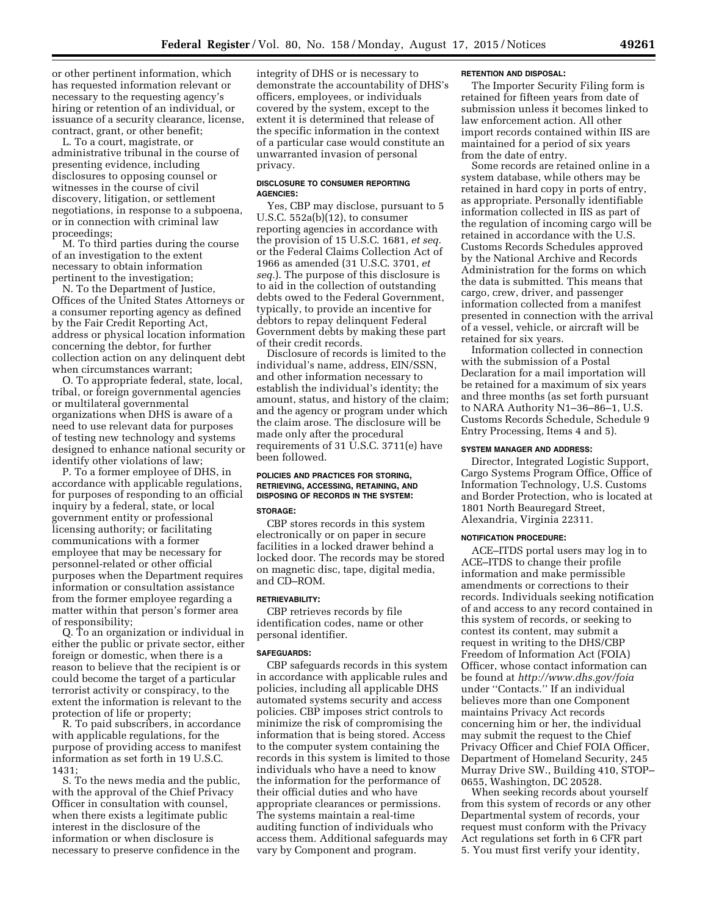or other pertinent information, which has requested information relevant or necessary to the requesting agency's hiring or retention of an individual, or issuance of a security clearance, license, contract, grant, or other benefit;

L. To a court, magistrate, or administrative tribunal in the course of presenting evidence, including disclosures to opposing counsel or witnesses in the course of civil discovery, litigation, or settlement negotiations, in response to a subpoena, or in connection with criminal law proceedings;

M. To third parties during the course of an investigation to the extent necessary to obtain information pertinent to the investigation;

N. To the Department of Justice, Offices of the United States Attorneys or a consumer reporting agency as defined by the Fair Credit Reporting Act, address or physical location information concerning the debtor, for further collection action on any delinquent debt when circumstances warrant;

O. To appropriate federal, state, local, tribal, or foreign governmental agencies or multilateral governmental organizations when DHS is aware of a need to use relevant data for purposes of testing new technology and systems designed to enhance national security or identify other violations of law;

P. To a former employee of DHS, in accordance with applicable regulations, for purposes of responding to an official inquiry by a federal, state, or local government entity or professional licensing authority; or facilitating communications with a former employee that may be necessary for personnel-related or other official purposes when the Department requires information or consultation assistance from the former employee regarding a matter within that person's former area of responsibility;

Q. To an organization or individual in either the public or private sector, either foreign or domestic, when there is a reason to believe that the recipient is or could become the target of a particular terrorist activity or conspiracy, to the extent the information is relevant to the protection of life or property;

R. To paid subscribers, in accordance with applicable regulations, for the purpose of providing access to manifest information as set forth in 19 U.S.C. 1431;

S. To the news media and the public, with the approval of the Chief Privacy Officer in consultation with counsel, when there exists a legitimate public interest in the disclosure of the information or when disclosure is necessary to preserve confidence in the

integrity of DHS or is necessary to demonstrate the accountability of DHS's officers, employees, or individuals covered by the system, except to the extent it is determined that release of the specific information in the context of a particular case would constitute an unwarranted invasion of personal privacy.

## **DISCLOSURE TO CONSUMER REPORTING AGENCIES:**

Yes, CBP may disclose, pursuant to 5 U.S.C. 552a(b)(12), to consumer reporting agencies in accordance with the provision of 15 U.S.C. 1681, *et seq.*  or the Federal Claims Collection Act of 1966 as amended (31 U.S.C. 3701, *et seq.*). The purpose of this disclosure is to aid in the collection of outstanding debts owed to the Federal Government, typically, to provide an incentive for debtors to repay delinquent Federal Government debts by making these part of their credit records.

Disclosure of records is limited to the individual's name, address, EIN/SSN, and other information necessary to establish the individual's identity; the amount, status, and history of the claim; and the agency or program under which the claim arose. The disclosure will be made only after the procedural requirements of 31 U.S.C. 3711(e) have been followed.

# **POLICIES AND PRACTICES FOR STORING, RETRIEVING, ACCESSING, RETAINING, AND DISPOSING OF RECORDS IN THE SYSTEM:**

### **STORAGE:**

CBP stores records in this system electronically or on paper in secure facilities in a locked drawer behind a locked door. The records may be stored on magnetic disc, tape, digital media, and CD–ROM.

#### **RETRIEVABILITY:**

CBP retrieves records by file identification codes, name or other personal identifier.

### **SAFEGUARDS:**

CBP safeguards records in this system in accordance with applicable rules and policies, including all applicable DHS automated systems security and access policies. CBP imposes strict controls to minimize the risk of compromising the information that is being stored. Access to the computer system containing the records in this system is limited to those individuals who have a need to know the information for the performance of their official duties and who have appropriate clearances or permissions. The systems maintain a real-time auditing function of individuals who access them. Additional safeguards may vary by Component and program.

### **RETENTION AND DISPOSAL:**

The Importer Security Filing form is retained for fifteen years from date of submission unless it becomes linked to law enforcement action. All other import records contained within IIS are maintained for a period of six years from the date of entry.

Some records are retained online in a system database, while others may be retained in hard copy in ports of entry, as appropriate. Personally identifiable information collected in IIS as part of the regulation of incoming cargo will be retained in accordance with the U.S. Customs Records Schedules approved by the National Archive and Records Administration for the forms on which the data is submitted. This means that cargo, crew, driver, and passenger information collected from a manifest presented in connection with the arrival of a vessel, vehicle, or aircraft will be retained for six years.

Information collected in connection with the submission of a Postal Declaration for a mail importation will be retained for a maximum of six years and three months (as set forth pursuant to NARA Authority N1–36–86–1, U.S. Customs Records Schedule, Schedule 9 Entry Processing, Items 4 and 5).

## **SYSTEM MANAGER AND ADDRESS:**

Director, Integrated Logistic Support, Cargo Systems Program Office, Office of Information Technology, U.S. Customs and Border Protection, who is located at 1801 North Beauregard Street, Alexandria, Virginia 22311.

#### **NOTIFICATION PROCEDURE:**

ACE–ITDS portal users may log in to ACE–ITDS to change their profile information and make permissible amendments or corrections to their records. Individuals seeking notification of and access to any record contained in this system of records, or seeking to contest its content, may submit a request in writing to the DHS/CBP Freedom of Information Act (FOIA) Officer, whose contact information can be found at *<http://www.dhs.gov/foia>*  under ''Contacts.'' If an individual believes more than one Component maintains Privacy Act records concerning him or her, the individual may submit the request to the Chief Privacy Officer and Chief FOIA Officer, Department of Homeland Security, 245 Murray Drive SW., Building 410, STOP– 0655, Washington, DC 20528.

When seeking records about yourself from this system of records or any other Departmental system of records, your request must conform with the Privacy Act regulations set forth in 6 CFR part 5. You must first verify your identity,